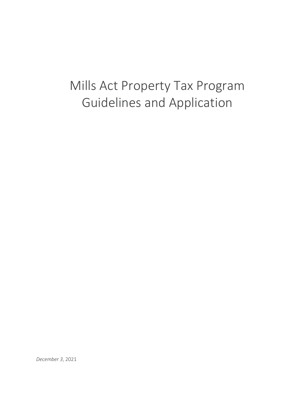# Mills Act Property Tax Program Guidelines and Application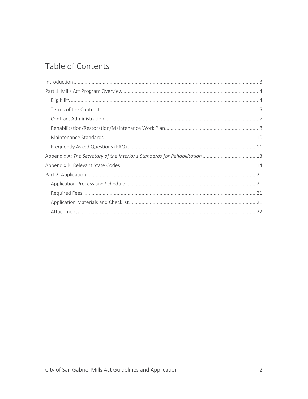# Table of Contents

| Appendix A: The Secretary of the Interior's Standards for Rehabilitation  13 |
|------------------------------------------------------------------------------|
|                                                                              |
|                                                                              |
|                                                                              |
|                                                                              |
|                                                                              |
|                                                                              |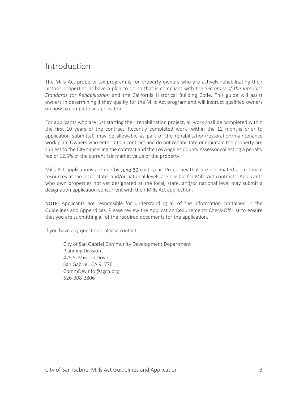### <span id="page-2-0"></span>Introduction

The Mills Act property tax program is for property owners who are actively rehabilitating their historic properties or have a plan to do so that is compliant with the *Secretary of the Interior's Standards for Rehabilitation* and the California Historical Building Code. This guide will assist owners in determining if they qualify for the Mills Act program and will instruct qualified owners on how to complete an application.

For applicants who are just starting their rehabilitation project, all work shall be completed within the first 10 years of the contract. Recently completed work (within the 12 months prior to application submittal) may be allowable as part of the rehabilitation/restoration/maintenance work plan. Owners who enter into a contract and do not rehabilitate or maintain the property are subject to the City cancelling the contract and the Los Angeles County Assessor collecting a penalty fee of 12.5% of the current fair market value of the property.

Mills Act applications are due by June 30 each year. Properties that are designated as historical resources at the local, state, and/or national levels are eligible for Mills Act contracts. Applicants who own properties not yet designated at the local, state, and/or national level may submit a designation application concurrent with their Mills Act application.

NOTE: Applicants are responsible for understanding all of the information contained in the Guidelines and Appendices. Please review the Application Requirements Check-Off List to ensure that you are submitting all of the required documents for the application.

If you have any questions, please contact:

City of San Gabriel Community Development Department Planning Division 425 S. Mission Drive San Gabriel, CA 91776 CommDevInfo@sgch.org 626-308-2806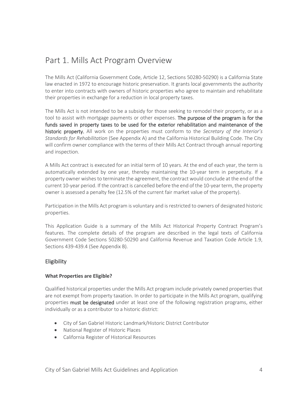## <span id="page-3-0"></span>Part 1. Mills Act Program Overview

The Mills Act (California Government Code, Article 12, Sections 50280-50290) is a California State law enacted in 1972 to encourage historic preservation. It grants local governments the authority to enter into contracts with owners of historic properties who agree to maintain and rehabilitate their properties in exchange for a reduction in local property taxes.

The Mills Act is not intended to be a subsidy for those seeking to remodel their property, or as a tool to assist with mortgage payments or other expenses. The purpose of the program is for the funds saved in property taxes to be used for the exterior rehabilitation and maintenance of the historic property. All work on the properties must conform to the *Secretary of the Interior's Standards for Rehabilitation* (See Appendix A) and the California Historical Building Code. The City will confirm owner compliance with the terms of their Mills Act Contract through annual reporting and inspection.

A Mills Act contract is executed for an initial term of 10 years. At the end of each year, the term is automatically extended by one year, thereby maintaining the 10-year term in perpetuity. If a property owner wishes to terminate the agreement, the contract would conclude at the end of the current 10-year period. If the contract is cancelled before the end of the 10-year term, the property owner is assessed a penalty fee (12.5% of the current fair market value of the property).

Participation in the Mills Act program is voluntary and is restricted to owners of designated historic properties.

This Application Guide is a summary of the Mills Act Historical Property Contract Program's features. The complete details of the program are described in the legal texts of California Government Code Sections 50280-50290 and California Revenue and Taxation Code Article 1.9, Sections 439-439.4 (See Appendix B).

#### <span id="page-3-1"></span>**Eligibility**

#### **What Properties are Eligible?**

Qualified historical properties under the Mills Act program include privately owned properties that are not exempt from property taxation. In order to participate in the Mills Act program, qualifying properties must be designated under at least one of the following registration programs, either individually or as a contributor to a historic district:

- City of San Gabriel Historic Landmark/Historic District Contributor
- National Register of Historic Places
- California Register of Historical Resources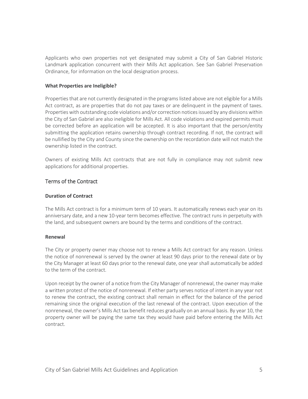Applicants who own properties not yet designated may submit a City of San Gabriel Historic Landmark application concurrent with their Mills Act application. See San Gabriel Preservation Ordinance, for information on the local designation process.

#### **What Properties are Ineligible?**

Properties that are not currently designated in the programs listed above are not eligible for a Mills Act contract, as are properties that do not pay taxes or are delinquent in the payment of taxes. Properties with outstanding code violations and/or correction notices issued by any divisions within the City of San Gabriel are also ineligible for Mills Act. All code violations and expired permits must be corrected before an application will be accepted. It is also important that the person/entity submitting the application retains ownership through contract recording. If not, the contract will be nullified by the City and County since the ownership on the recordation date will not match the ownership listed in the contract.

Owners of existing Mills Act contracts that are not fully in compliance may not submit new applications for additional properties.

#### <span id="page-4-0"></span>Terms of the Contract

#### **Duration of Contract**

The Mills Act contract is for a minimum term of 10 years. It automatically renews each year on its anniversary date, and a new 10-year term becomes effective. The contract runs in perpetuity with the land, and subsequent owners are bound by the terms and conditions of the contract.

#### **Renewal**

The City or property owner may choose not to renew a Mills Act contract for any reason. Unless the notice of nonrenewal is served by the owner at least 90 days prior to the renewal date or by the City Manager at least 60 days prior to the renewal date, one year shall automatically be added to the term of the contract.

Upon receipt by the owner of a notice from the City Manager of nonrenewal, the owner may make a written protest of the notice of nonrenewal. If either party serves notice of intent in any year not to renew the contract, the existing contract shall remain in effect for the balance of the period remaining since the original execution of the last renewal of the contract. Upon execution of the nonrenewal, the owner's Mills Act tax benefit reduces gradually on an annual basis. By year 10, the property owner will be paying the same tax they would have paid before entering the Mills Act contract.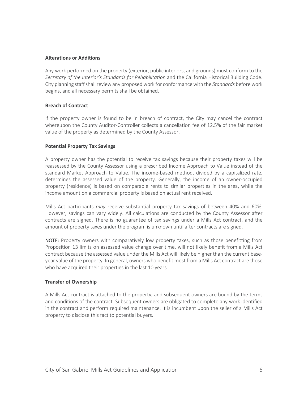#### **Alterations or Additions**

Any work performed on the property (exterior, public interiors, and grounds) must conform to the *Secretary of the Interior's Standards for Rehabilitation* and the California Historical Building Code. City planning staff shall review any proposed work for conformance with the *Standards* before work begins, and all necessary permits shall be obtained.

#### **Breach of Contract**

If the property owner is found to be in breach of contract, the City may cancel the contract whereupon the County Auditor-Controller collects a cancellation fee of 12.5% of the fair market value of the property as determined by the County Assessor.

#### **Potential Property Tax Savings**

A property owner has the potential to receive tax savings because their property taxes will be reassessed by the County Assessor using a prescribed Income Approach to Value instead of the standard Market Approach to Value. The income-based method, divided by a capitalized rate, determines the assessed value of the property. Generally, the income of an owner-occupied property (residence) is based on comparable rents to similar properties in the area, while the income amount on a commercial property is based on actual rent received.

Mills Act participants *may* receive substantial property tax savings of between 40% and 60%. However, savings can vary widely. All calculations are conducted by the County Assessor after contracts are signed. There is no guarantee of tax savings under a Mills Act contract, and the amount of property taxes under the program is unknown until after contracts are signed.

NOTE: Property owners with comparatively low property taxes, such as those benefitting from Proposition 13 limits on assessed value change over time, will not likely benefit from a Mills Act contract because the assessed value under the Mills Act will likely be higher than the current baseyear value of the property. In general, owners who benefit most from a Mills Act contract are those who have acquired their properties in the last 10 years.

#### **Transfer of Ownership**

<span id="page-5-0"></span>A Mills Act contract is attached to the property, and subsequent owners are bound by the terms and conditions of the contract. Subsequent owners are obligated to complete any work identified in the contract and perform required maintenance. It is incumbent upon the seller of a Mills Act property to disclose this fact to potential buyers.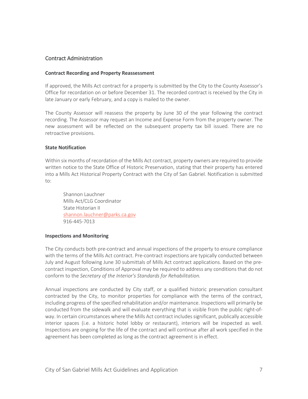#### Contract Administration

#### **Contract Recording and Property Reassessment**

If approved, the Mills Act contract for a property is submitted by the City to the County Assessor's Office for recordation on or before December 31. The recorded contract is received by the City in late January or early February, and a copy is mailed to the owner.

The County Assessor will reassess the property by June 30 of the year following the contract recording. The Assessor may request an Income and Expense Form from the property owner. The new assessment will be reflected on the subsequent property tax bill issued. There are no retroactive provisions.

#### **State Notification**

Within six months of recordation of the Mills Act contract, property owners are required to provide written notice to the State Office of Historic Preservation, stating that their property has entered into a Mills Act Historical Property Contract with the City of San Gabriel. Notification is submitted to:

Shannon Lauchner Mills Act/CLG Coordinator State Historian II [shannon.lauchner@parks.ca.gov](mailto:shannon.lauchner@parks.ca.gov) 916-445-7013

#### **Inspections and Monitoring**

The City conducts both pre-contract and annual inspections of the property to ensure compliance with the terms of the Mills Act contract. Pre-contract inspections are typically conducted between July and August following June 30 submittals of Mills Act contract applications. Based on the precontract inspection, Conditions of Approval may be required to address any conditions that do not conform to the *Secretary of the Interior's Standards for Rehabilitation.*

Annual inspections are conducted by City staff, or a qualified historic preservation consultant contracted by the City, to monitor properties for compliance with the terms of the contract, including progress of the specified rehabilitation and/or maintenance. Inspections will primarily be conducted from the sidewalk and will evaluate everything that is visible from the public right-ofway. In certain circumstances where the Mills Act contract includes significant, publically accessible interior spaces (i.e. a historic hotel lobby or restaurant), interiors will be inspected as well. Inspections are ongoing for the life of the contract and will continue after all work specified in the agreement has been completed as long as the contract agreement is in effect.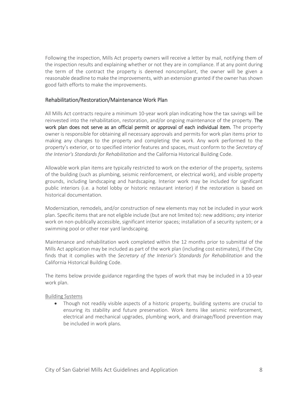Following the inspection, Mills Act property owners will receive a letter by mail, notifying them of the inspection results and explaining whether or not they are in compliance. If at any point during the term of the contract the property is deemed noncompliant, the owner will be given a reasonable deadline to make the improvements, with an extension granted if the owner has shown good faith efforts to make the improvements.

#### <span id="page-7-0"></span>Rehabilitation/Restoration/Maintenance Work Plan

All Mills Act contracts require a minimum 10-year work plan indicating how the tax savings will be reinvested into the rehabilitation, restoration, and/or ongoing maintenance of the property. The work plan does not serve as an official permit or approval of each individual item. The property owner is responsible for obtaining all necessary approvals and permits for work plan items prior to making any changes to the property and completing the work. Any work performed to the property's exterior, or to specified interior features and spaces, must conform to the *Secretary of the Interior's Standards for Rehabilitation* and the California Historical Building Code.

Allowable work plan items are typically restricted to work on the exterior of the property, systems of the building (such as plumbing, seismic reinforcement, or electrical work), and visible property grounds, including landscaping and hardscaping. Interior work may be included for significant public interiors (i.e. a hotel lobby or historic restaurant interior) if the restoration is based on historical documentation.

Modernization, remodels, and/or construction of new elements may not be included in your work plan. Specific items that are not eligible include (but are not limited to): new additions; *any* interior work on non-publically accessible, significant interior spaces; installation of a security system; or a swimming pool or other rear yard landscaping.

Maintenance and rehabilitation work completed within the 12 months prior to submittal of the Mills Act application may be included as part of the work plan (including cost estimates), if the City finds that it complies with the *Secretary of the Interior's Standards for Rehabilitation* and the California Historical Building Code.

The items below provide guidance regarding the types of work that may be included in a 10-year work plan.

#### Building Systems

• Though not readily visible aspects of a historic property, building systems are crucial to ensuring its stability and future preservation. Work items like seismic reinforcement, electrical and mechanical upgrades, plumbing work, and drainage/flood prevention may be included in work plans.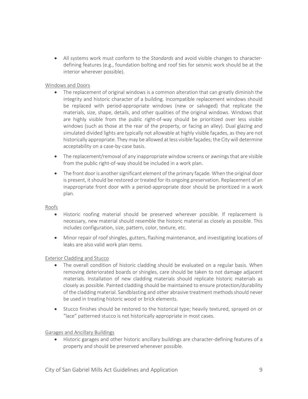• All systems work must conform to the *Standards* and avoid visible changes to characterdefining features (e.g., foundation bolting and roof ties for seismic work should be at the interior wherever possible).

#### Windows and Doors

- The replacement of original windows is a common alteration that can greatly diminish the integrity and historic character of a building. Incompatible replacement windows should be replaced with period-appropriate windows (new or salvaged) that replicate the materials, size, shape, details, and other qualities of the original windows. Windows that are highly visible from the public right-of-way should be prioritized over less visible windows (such as those at the rear of the property, or facing an alley). Dual glazing and simulated divided lights are typically not allowable at highly visible façades, as they are not historically appropriate. They may be allowed at less visible façades; the City will determine acceptability on a case-by-case basis.
- The replacement/removal of any inappropriate window screens or awnings that are visible from the public right-of-way should be included in a work plan.
- The front door is another significant element of the primary façade. When the original door is present, it should be restored or treated for its ongoing preservation. Replacement of an inappropriate front door with a period-appropriate door should be prioritized in a work plan.

#### Roofs

- Historic roofing material should be preserved wherever possible. If replacement is necessary, new material should resemble the historic material as closely as possible. This includes configuration, size, pattern, color, texture, etc.
- Minor repair of roof shingles, gutters, flashing maintenance, and investigating locations of leaks are also valid work plan items.

#### Exterior Cladding and Stucco

- The overall condition of historic cladding should be evaluated on a regular basis. When removing deteriorated boards or shingles, care should be taken to not damage adjacent materials. Installation of new cladding materials should replicate historic materials as closely as possible. Painted cladding should be maintained to ensure protection/durability of the cladding material. Sandblasting and other abrasive treatment methods should never be used in treating historic wood or brick elements.
- Stucco finishes should be restored to the historical type; heavily textured, sprayed on or "lace" patterned stucco is not historically appropriate in most cases.

#### Garages and Ancillary Buildings

• Historic garages and other historic ancillary buildings are character-defining features of a property and should be preserved whenever possible.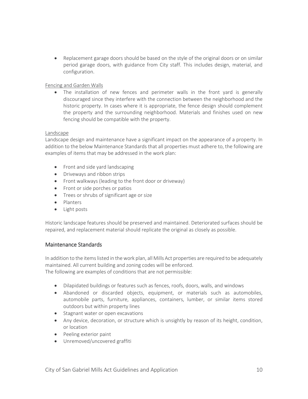• Replacement garage doors should be based on the style of the original doors or on similar period garage doors, with guidance from City staff. This includes design, material, and configuration.

#### Fencing and Garden Walls

• The installation of new fences and perimeter walls in the front yard is generally discouraged since they interfere with the connection between the neighborhood and the historic property. In cases where it is appropriate, the fence design should complement the property and the surrounding neighborhood. Materials and finishes used on new fencing should be compatible with the property.

#### Landscape

Landscape design and maintenance have a significant impact on the appearance of a property. In addition to the below Maintenance Standards that all properties must adhere to, the following are examples of items that may be addressed in the work plan:

- Front and side yard landscaping
- Driveways and ribbon strips
- Front walkways (leading to the front door or driveway)
- Front or side porches or patios
- Trees or shrubs of significant age or size
- Planters
- Light posts

Historic landscape features should be preserved and maintained. Deteriorated surfaces should be repaired, and replacement material should replicate the original as closely as possible.

#### <span id="page-9-0"></span>Maintenance Standards

In addition to the items listed in the work plan, all Mills Act properties are required to be adequately maintained. All current building and zoning codes will be enforced. The following are examples of conditions that are not permissible:

- Dilapidated buildings or features such as fences, roofs, doors, walls, and windows
- Abandoned or discarded objects, equipment, or materials such as automobiles, automobile parts, furniture, appliances, containers, lumber, or similar items stored outdoors but within property lines
- Stagnant water or open excavations
- Any device, decoration, or structure which is unsightly by reason of its height, condition, or location
- Peeling exterior paint
- Unremoved/uncovered graffiti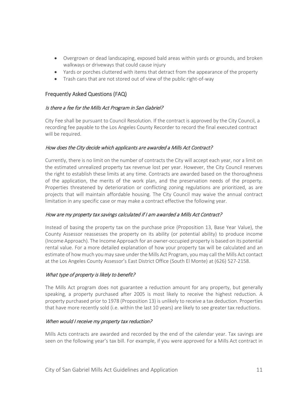- Overgrown or dead landscaping, exposed bald areas within yards or grounds, and broken walkways or driveways that could cause injury
- Yards or porches cluttered with items that detract from the appearance of the property
- Trash cans that are not stored out of view of the public right-of-way

#### <span id="page-10-0"></span>Frequently Asked Questions (FAQ)

#### Is there a fee for the Mills Act Program in San Gabriel?

City Fee shall be pursuant to Council Resolution. If the contract is approved by the City Council, a recording fee payable to the Los Angeles County Recorder to record the final executed contract will be required.

#### How does the City decide which applicants are awarded a Mills Act Contract?

Currently, there is no limit on the number of contracts the City will accept each year, nor a limit on the estimated unrealized property tax revenue lost per year. However, the City Council reserves the right to establish these limits at any time. Contracts are awarded based on the thoroughness of the application, the merits of the work plan, and the preservation needs of the property. Properties threatened by deterioration or conflicting zoning regulations are prioritized, as are projects that will maintain affordable housing. The City Council may waive the annual contract limitation in any specific case or may make a contract effective the following year.

#### How are my property tax savings calculated if I am awarded a Mills Act Contract?

Instead of basing the property tax on the purchase price (Proposition 13, Base Year Value), the County Assessor reassesses the property on its ability (or potential ability) to produce income (Income Approach). The Income Approach for an owner-occupied property is based on its potential rental value. For a more detailed explanation of how your property tax will be calculated and an estimate of how much you may save under the Mills Act Program, you may call the Mills Act contact at the Los Angeles County Assessor's East District Office (South El Monte) at (626) 527-2158.

#### What type of property is likely to benefit?

The Mills Act program does not guarantee a reduction amount for any property, but generally speaking, a property purchased after 2005 is most likely to receive the highest reduction. A property purchased prior to 1978 (Proposition 13) is unlikely to receive a tax deduction. Properties that have more recently sold (i.e. within the last 10 years) are likely to see greater tax reductions.

#### When would I receive my property tax reduction?

Mills Acts contracts are awarded and recorded by the end of the calendar year. Tax savings are seen on the following year's tax bill. For example, if you were approved for a Mills Act contract in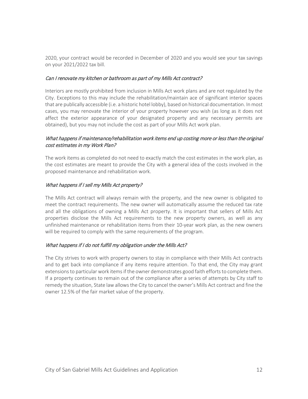2020, your contract would be recorded in December of 2020 and you would see your tax savings on your 2021/2022 tax bill.

#### Can I renovate my kitchen or bathroom as part of my Mills Act contract?

Interiors are mostly prohibited from inclusion in Mills Act work plans and are not regulated by the City. Exceptions to this may include the rehabilitation/maintain ace of significant interior spaces that are publically accessible (i.e. a historic hotel lobby), based on historical documentation. In most cases, you may renovate the interior of your property however you wish (as long as it does not affect the exterior appearance of your designated property and any necessary permits are obtained), but you may not include the cost as part of your Mills Act work plan.

#### What happens if maintenance/rehabilitation work items end up costing more or less than the original cost estimates in my Work Plan?

The work items as completed do not need to exactly match the cost estimates in the work plan, as the cost estimates are meant to provide the City with a general idea of the costs involved in the proposed maintenance and rehabilitation work.

#### What happens if I sell my Mills Act property?

The Mills Act contract will always remain with the property, and the new owner is obligated to meet the contract requirements. The new owner will automatically assume the reduced tax rate and all the obligations of owning a Mills Act property. It is important that sellers of Mills Act properties disclose the Mills Act requirements to the new property owners, as well as any unfinished maintenance or rehabilitation items from their 10-year work plan, as the new owners will be required to comply with the same requirements of the program.

#### What happens if I do not fulfill my obligation under the Mills Act?

The City strives to work with property owners to stay in compliance with their Mills Act contracts and to get back into compliance if any items require attention. To that end, the City may grant extensions to particular work items if the owner demonstrates good faith efforts to complete them. If a property continues to remain out of the compliance after a series of attempts by City staff to remedy the situation, State law allows the City to cancel the owner's Mills Act contract and fine the owner 12.5% of the fair market value of the property.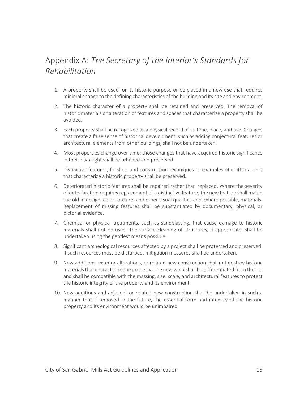# <span id="page-12-0"></span>Appendix A: *The Secretary of the Interior's Standards for Rehabilitation*

- 1. A property shall be used for its historic purpose or be placed in a new use that requires minimal change to the defining characteristics of the building and its site and environment.
- 2. The historic character of a property shall be retained and preserved. The removal of historic materials or alteration of features and spaces that characterize a property shall be avoided.
- 3. Each property shall be recognized as a physical record of its time, place, and use. Changes that create a false sense of historical development, such as adding conjectural features or architectural elements from other buildings, shall not be undertaken.
- 4. Most properties change over time; those changes that have acquired historic significance in their own right shall be retained and preserved.
- 5. Distinctive features, finishes, and construction techniques or examples of craftsmanship that characterize a historic property shall be preserved.
- 6. Deteriorated historic features shall be repaired rather than replaced. Where the severity of deterioration requires replacement of a distinctive feature, the new feature shall match the old in design, color, texture, and other visual qualities and, where possible, materials. Replacement of missing features shall be substantiated by documentary, physical, or pictorial evidence.
- 7. Chemical or physical treatments, such as sandblasting, that cause damage to historic materials shall not be used. The surface cleaning of structures, if appropriate, shall be undertaken using the gentlest means possible.
- 8. Significant archeological resources affected by a project shall be protected and preserved. If such resources must be disturbed, mitigation measures shall be undertaken.
- 9. New additions, exterior alterations, or related new construction shall not destroy historic materials that characterize the property. The new work shall be differentiated from the old and shall be compatible with the massing, size, scale, and architectural features to protect the historic integrity of the property and its environment.
- 10. New additions and adjacent or related new construction shall be undertaken in such a manner that if removed in the future, the essential form and integrity of the historic property and its environment would be unimpaired.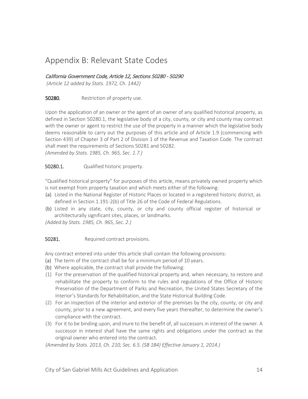### <span id="page-13-0"></span>Appendix B: Relevant State Codes

#### California Government Code, Article 12, Sections 50280 - 50290

*(Article 12 added by Stats. 1972, Ch. 1442)*

**50280.** Restriction of property use.

Upon the application of an owner or the agent of an owner of any qualified historical property, as defined in Section 50280.1, the legislative body of a city, county, or city and county may contract with the owner or agent to restrict the use of the property in a manner which the legislative body deems reasonable to carry out the purposes of this article and of Article 1.9 (commencing with Section 439) of Chapter 3 of Part 2 of Division 1 of the Revenue and Taxation Code. The contract shall meet the requirements of Sections 50281 and 50282.

*(Amended by Stats. 1985, Ch. 965, Sec. 1.7.)*

50280.1. Qualified historic property.

"Qualified historical property" for purposes of this article, means privately owned property which is not exempt from property taxation and which meets either of the following:

- (a) Listed in the National Register of Historic Places or located in a registered historic district, as defined in Section 1.191-2(b) of Title 26 of the Code of Federal Regulations.
- (b) Listed in any state, city, county, or city and county official register of historical or architecturally significant sites, places, or landmarks.

*(Added by Stats. 1985, Ch. 965, Sec. 2.)*

50281. Required contract provisions.

Any contract entered into under this article shall contain the following provisions:

- (a) The term of the contract shall be for a minimum period of 10 years.
- (b) Where applicable, the contract shall provide the following:
- (1) For the preservation of the qualified historical property and, when necessary, to restore and rehabilitate the property to conform to the rules and regulations of the Office of Historic Preservation of the Department of Parks and Recreation, the United States Secretary of the Interior's Standards for Rehabilitation, and the State Historical Building Code.
- (2) For an inspection of the interior and exterior of the premises by the city, county, or city and county, prior to a new agreement, and every five years thereafter, to determine the owner's compliance with the contract.
- (3) For it to be binding upon, and inure to the benefit of, all successors in interest of the owner. A successor in interest shall have the same rights and obligations under the contract as the original owner who entered into the contract.

*(Amended by Stats. 2013, Ch. 210, Sec. 6.5. (SB 184) Effective January 1, 2014.)*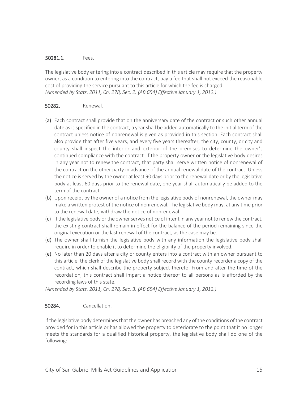#### 50281.1. Fees.

The legislative body entering into a contract described in this article may require that the property owner, as a condition to entering into the contract, pay a fee that shall not exceed the reasonable cost of providing the service pursuant to this article for which the fee is charged. *(Amended by Stats. 2011, Ch. 278, Sec. 2. (AB 654) Effective January 1, 2012.)*

#### 50282. Renewal.

- (a) Each contract shall provide that on the anniversary date of the contract or such other annual date as is specified in the contract, a year shall be added automatically to the initial term of the contract unless notice of nonrenewal is given as provided in this section. Each contract shall also provide that after five years, and every five years thereafter, the city, county, or city and county shall inspect the interior and exterior of the premises to determine the owner's continued compliance with the contract. If the property owner or the legislative body desires in any year not to renew the contract, that party shall serve written notice of nonrenewal of the contract on the other party in advance of the annual renewal date of the contract. Unless the notice is served by the owner at least 90 days prior to the renewal date or by the legislative body at least 60 days prior to the renewal date, one year shall automatically be added to the term of the contract.
- (b) Upon receipt by the owner of a notice from the legislative body of nonrenewal, the owner may make a written protest of the notice of nonrenewal. The legislative body may, at any time prior to the renewal date, withdraw the notice of nonrenewal.
- (c) If the legislative body or the owner serves notice of intent in any year not to renew the contract, the existing contract shall remain in effect for the balance of the period remaining since the original execution or the last renewal of the contract, as the case may be.
- (d) The owner shall furnish the legislative body with any information the legislative body shall require in order to enable it to determine the eligibility of the property involved.
- (e) No later than 20 days after a city or county enters into a contract with an owner pursuant to this article, the clerk of the legislative body shall record with the county recorder a copy of the contract, which shall describe the property subject thereto. From and after the time of the recordation, this contract shall impart a notice thereof to all persons as is afforded by the recording laws of this state.

*(Amended by Stats. 2011, Ch. 278, Sec. 3. (AB 654) Effective January 1, 2012.)*

#### 50284. Cancellation.

If the legislative body determines that the owner has breached any of the conditions of the contract provided for in this article or has allowed the property to deteriorate to the point that it no longer meets the standards for a qualified historical property, the legislative body shall do one of the following: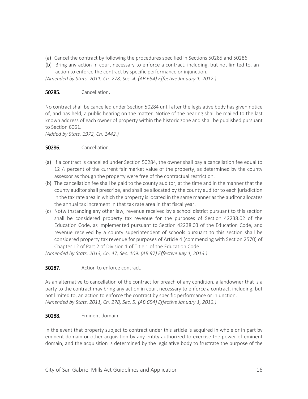- (a) Cancel the contract by following the procedures specified in Sections 50285 and 50286.
- (b) Bring any action in court necessary to enforce a contract, including, but not limited to, an action to enforce the contract by specific performance or injunction.

*(Amended by Stats. 2011, Ch. 278, Sec. 4. (AB 654) Effective January 1, 2012.)*

#### 50285. Cancellation.

No contract shall be cancelled under Section 50284 until after the legislative body has given notice of, and has held, a public hearing on the matter. Notice of the hearing shall be mailed to the last known address of each owner of property within the historic zone and shall be published pursuant to Section 6061.

*(Added by Stats. 1972, Ch. 1442.)*

#### 50286. Cancellation.

- (a) If a contract is cancelled under Section 50284, the owner shall pay a cancellation fee equal to  $12^{1/2}$  percent of the current fair market value of the property, as determined by the county assessor as though the property were free of the contractual restriction.
- (b) The cancellation fee shall be paid to the county auditor, at the time and in the manner that the county auditor shall prescribe, and shall be allocated by the county auditor to each jurisdiction in the tax rate area in which the property is located in the same manner as the auditor allocates the annual tax increment in that tax rate area in that fiscal year.
- (c) Notwithstanding any other law, revenue received by a school district pursuant to this section shall be considered property tax revenue for the purposes of Section 42238.02 of the Education Code, as implemented pursuant to Section 42238.03 of the Education Code, and revenue received by a county superintendent of schools pursuant to this section shall be considered property tax revenue for purposes of Article 4 (commencing with Section 2570) of Chapter 12 of Part 2 of Division 1 of Title 1 of the Education Code.

*(Amended by Stats. 2013, Ch. 47, Sec. 109. (AB 97) Effective July 1, 2013.)*

#### 50287. Action to enforce contract.

As an alternative to cancellation of the contract for breach of any condition, a landowner that is a party to the contract may bring any action in court necessary to enforce a contract, including, but not limited to, an action to enforce the contract by specific performance or injunction. *(Amended by Stats. 2011, Ch. 278, Sec. 5. (AB 654) Effective January 1, 2012.)*

#### 50288. Eminent domain.

In the event that property subject to contract under this article is acquired in whole or in part by eminent domain or other acquisition by any entity authorized to exercise the power of eminent domain, and the acquisition is determined by the legislative body to frustrate the purpose of the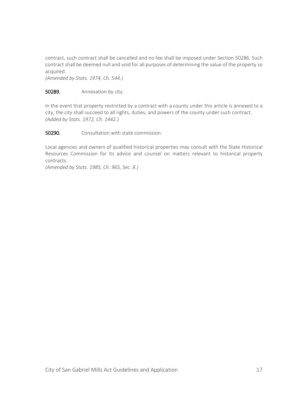contract, such contract shall be cancelled and no fee shall be imposed under Section 50286. Such contract shall be deemed null and void for all purposes of determining the value of the property so acquired.

*(Amended by Stats. 1974, Ch. 544.)*

#### **50289.** Annexation by city.

In the event that property restricted by a contract with a county under this article is annexed to a city, the city shall succeed to all rights, duties, and powers of the county under such contract. *(Added by Stats. 1972, Ch. 1442.)*

**50290.** Consultation with state commission.

Local agencies and owners of qualified historical properties may consult with the State Historical Resources Commission for its advice and counsel on matters relevant to historical property contracts.

*(Amended by Stats. 1985, Ch. 965, Sec. 8.)*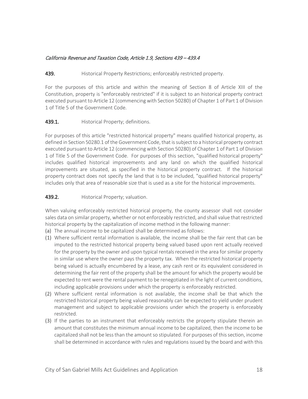#### California Revenue and Taxation Code, Article 1.9, Sections 439 – 439.4

#### 439. **Historical Property Restrictions; enforceably restricted property.**

For the purposes of this article and within the meaning of Section 8 of Article XIII of the Constitution, property is "enforceably restricted" if it is subject to an historical property contract executed pursuant to Article 12 (commencing with Section 50280) of Chapter 1 of Part 1 of Division 1 of Title 5 of the Government Code.

#### 439.1. Historical Property; definitions.

For purposes of this article "restricted historical property" means qualified historical property, as defined in Section 50280.1 of the Government Code, that is subject to a historical property contract executed pursuant to Article 12 (commencing with Section 50280) of Chapter 1 of Part 1 of Division 1 of Title 5 of the Government Code. For purposes of this section, "qualified historical property" includes qualified historical improvements and any land on which the qualified historical improvements are situated, as specified in the historical property contract. If the historical property contract does not specify the land that is to be included, "qualified historical property" includes only that area of reasonable size that is used as a site for the historical improvements.

#### **439.2.** Historical Property; valuation.

When valuing enforceably restricted historical property, the county assessor shall not consider sales data on similar property, whether or not enforceably restricted, and shall value that restricted historical property by the capitalization of income method in the following manner:

- (a) The annual income to be capitalized shall be determined as follows:
- (1) Where sufficient rental information is available, the income shall be the fair rent that can be imputed to the restricted historical property being valued based upon rent actually received for the property by the owner and upon typical rentals received in the area for similar property in similar use where the owner pays the property tax. When the restricted historical property being valued is actually encumbered by a lease, any cash rent or its equivalent considered in determining the fair rent of the property shall be the amount for which the property would be expected to rent were the rental payment to be renegotiated in the light of current conditions, including applicable provisions under which the property is enforceably restricted.
- (2) Where sufficient rental information is not available, the income shall be that which the restricted historical property being valued reasonably can be expected to yield under prudent management and subject to applicable provisions under which the property is enforceably restricted.
- (3) If the parties to an instrument that enforceably restricts the property stipulate therein an amount that constitutes the minimum annual income to be capitalized, then the income to be capitalized shall not be less than the amount so stipulated. For purposes of this section, income shall be determined in accordance with rules and regulations issued by the board and with this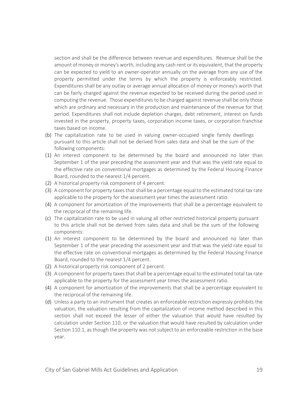section and shall be the difference between revenue and expenditures. Revenue shall be the amount of money or money's worth, including any cash rent or its equivalent, that the property can be expected to yield to an owner-operator annually on the average from any use of the property permitted under the terms by which the property is enforceably restricted. Expenditures shall be any outlay or average annual allocation of money or money's worth that can be fairly charged against the revenue expected to be received during the period used in computing the revenue. Those expenditures to be charged against revenue shall be only those which are ordinary and necessary in the production and maintenance of the revenue for that period. Expenditures shall not include depletion charges, debt retirement, interest on funds invested in the property, property taxes, corporation income taxes, or corporation franchise taxes based on income.

- (b) The capitalization rate to be used in valuing owner-occupied single family dwellings pursuant to this article shall not be derived from sales data and shall be the sum of the following components:
- (1) An interest component to be determined by the board and announced no later than September 1 of the year preceding the assessment year and that was the yield rate equal to the effective rate on conventional mortgages as determined by the Federal Housing Finance Board, rounded to the nearest 1/4 percent.
- (2) A historical property risk component of 4 percent.
- (3) A component for property taxes that shall be a percentage equal to the estimated total tax rate applicable to the property for the assessment year times the assessment ratio.
- (4) A component for amortization of the improvements that shall be a percentage equivalent to the reciprocal of the remaining life.
- (c) The capitalization rate to be used in valuing all other restricted historical property pursuant to this article shall not be derived from sales data and shall be the sum of the following components:
- (1) An interest component to be determined by the board and announced no later than September 1 of the year preceding the assessment year and that was the yield rate equal to the effective rate on conventional mortgages as determined by the Federal Housing Finance Board, rounded to the nearest 1/4 percent.
- (2) A historical property risk component of 2 percent.
- (3) A component for property taxes that shall be a percentage equal to the estimated total tax rate applicable to the property for the assessment year times the assessment ratio.
- (4) A component for amortization of the improvements that shall be a percentage equivalent to the reciprocal of the remaining life.
- (d) Unless a party to an instrument that creates an enforceable restriction expressly prohibits the valuation, the valuation resulting from the capitalization of income method described in this section shall not exceed the lesser of either the valuation that would have resulted by calculation under Section 110, or the valuation that would have resulted by calculation under Section 110.1, as though the property was not subject to an enforceable restriction in the base year.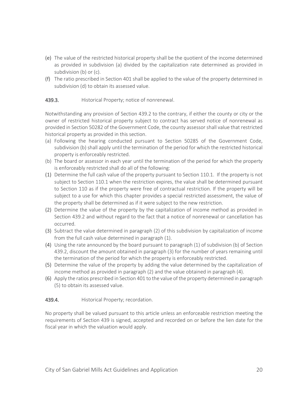- (e) The value of the restricted historical property shall be the quotient of the income determined as provided in subdivision (a) divided by the capitalization rate determined as provided in subdivision (b) or (c).
- (f) The ratio prescribed in Section 401 shall be applied to the value of the property determined in subdivision (d) to obtain its assessed value.

#### 439.3. Historical Property; notice of nonrenewal.

Notwithstanding any provision of Section 439.2 to the contrary, if either the county or city or the owner of restricted historical property subject to contract has served notice of nonrenewal as provided in Section 50282 of the Government Code, the county assessor shall value that restricted historical property as provided in this section.

- (a) Following the hearing conducted pursuant to Section 50285 of the Government Code, subdivision (b) shall apply until the termination of the period for which the restricted historical property is enforceably restricted.
- (b) The board or assessor in each year until the termination of the period for which the property is enforceably restricted shall do all of the following:
- (1) Determine the full cash value of the property pursuant to Section 110.1. If the property is not subject to Section 110.1 when the restriction expires, the value shall be determined pursuant to Section 110 as if the property were free of contractual restriction. If the property will be subject to a use for which this chapter provides a special restricted assessment, the value of the property shall be determined as if it were subject to the new restriction.
- (2) Determine the value of the property by the capitalization of income method as provided in Section 439.2 and without regard to the fact that a notice of nonrenewal or cancellation has occurred.
- (3) Subtract the value determined in paragraph (2) of this subdivision by capitalization of income from the full cash value determined in paragraph (1).
- (4) Using the rate announced by the board pursuant to paragraph (1) of subdivision (b) of Section 439.2, discount the amount obtained in paragraph (3) for the number of years remaining until the termination of the period for which the property is enforceably restricted.
- (5) Determine the value of the property by adding the value determined by the capitalization of income method as provided in paragraph (2) and the value obtained in paragraph (4).
- (6) Apply the ratios prescribed in Section 401 to the value of the property determined in paragraph (5) to obtain its assessed value.

439.4. Historical Property; recordation.

No property shall be valued pursuant to this article unless an enforceable restriction meeting the requirements of Section 439 is signed, accepted and recorded on or before the lien date for the fiscal year in which the valuation would apply.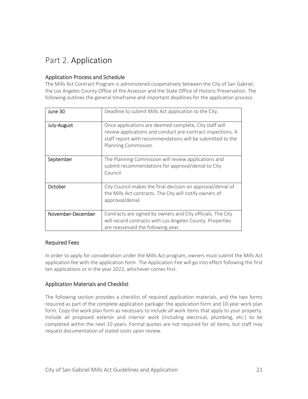# <span id="page-20-0"></span>Part 2. Application

#### <span id="page-20-1"></span>Application Process and Schedule

The Mills Act Contract Program is administered cooperatively between the City of San Gabriel, the Los Angeles County Office of the Assessor and the State Office of Historic Preservation. The following outlines the general timeframe and important deadlines for the application process.

| June 30           | Deadline to submit Mills Act application to the City.                                                                                                                                                       |
|-------------------|-------------------------------------------------------------------------------------------------------------------------------------------------------------------------------------------------------------|
| July-August       | Once applications are deemed complete, City staff will<br>review applications and conduct pre-contract inspections. A<br>staff report with recommendations will be submitted to the<br>Planning Commission. |
| September         | The Planning Commission will review applications and<br>submit recommendations for approval/denial to City<br>Council.                                                                                      |
| October           | City Council makes the final decision on approval/denial of<br>the Mills Act contracts. The City will notify owners of<br>approval/denial.                                                                  |
| November-December | Contracts are signed by owners and City officials. The City<br>will record contracts with Los Angeles County. Properties<br>are reassessed the following year.                                              |

#### <span id="page-20-2"></span>Required Fees

In order to apply for consideration under the Mills Act program, owners must submit the Mills Act application fee with the application form. The Application Fee will go into effect following the first ten applications or in the year 2022, whichever comes first.

#### <span id="page-20-3"></span>Application Materials and Checklist

The following section provides a checklist of required application materials, and the two forms required as part of the complete application package: the application form and 10-year work plan form. Copy the work plan form as necessary to include all work items that apply to your property. Include all proposed exterior and interior work (including electrical, plumbing, etc.) to be completed within the next 10 years. Formal quotes are not required for all items, but staff may request documentation of stated costs upon review.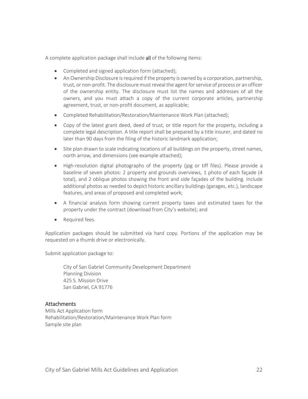A complete application package shall include all of the following items:

- Completed and signed application form (attached);
- An Ownership Disclosure is required if the property is owned by a corporation, partnership, trust, or non-profit. The disclosure must reveal the agent for service of process or an officer of the ownership entity. The disclosure must list the names and addresses of all the owners, and you must attach a copy of the current corporate articles, partnership agreement, trust, or non-profit document, as applicable;
- Completed Rehabilitation/Restoration/Maintenance Work Plan (attached);
- Copy of the latest grant deed, deed of trust, or title report for the property, including a complete legal description. A title report shall be prepared by a title insurer, and dated no later than 90 days from the filing of the historic landmark application;
- Site plan drawn to scale indicating locations of all buildings on the property, street names, north arrow, and dimensions (see example attached);
- High-resolution digital photographs of the property (jpg or tiff files). Please provide a baseline of seven photos: 2 property and grounds overviews, 1 photo of each façade (4 total), and 2 oblique photos showing the front and side façades of the building. Include additional photos as needed to depict historic ancillary buildings (garages, etc.), landscape features, and areas of proposed and completed work;
- A financial analysis form showing current property taxes and estimated taxes for the property under the contract (download from City's website); and
- Required fees.

Application packages should be submitted via hard copy. Portions of the application may be requested on a thumb drive or electronically.

Submit application package to:

City of San Gabriel Community Development Department Planning Division 425 S. Mission Drive San Gabriel, CA 91776

#### <span id="page-21-0"></span>**Attachments**

Mills Act Application form Rehabilitation/Restoration/Maintenance Work Plan form Sample site plan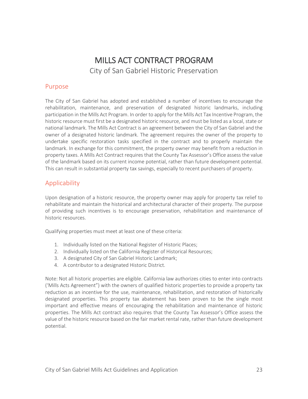# MILLS ACT CONTRACT PROGRAM City of San Gabriel Historic Preservation

### Purpose

The City of San Gabriel has adopted and established a number of incentives to encourage the rehabilitation, maintenance, and preservation of designated historic landmarks, including participation in the Mills Act Program. In order to apply for the Mills Act Tax Incentive Program, the historic resource must first be a designated historic resource, and must be listed as a local, state or national landmark. The Mills Act Contract is an agreement between the City of San Gabriel and the owner of a designated historic landmark. The agreement requires the owner of the property to undertake specific restoration tasks specified in the contract and to properly maintain the landmark. In exchange for this commitment, the property owner may benefit from a reduction in property taxes. A Mills Act Contract requires that the County Tax Assessor's Office assess the value of the landmark based on its current income potential, rather than future development potential. This can result in substantial property tax savings, especially to recent purchasers of property.

### Applicability

Upon designation of a historic resource, the property owner may apply for property tax relief to rehabilitate and maintain the historical and architectural character of their property. The purpose of providing such incentives is to encourage preservation, rehabilitation and maintenance of historic resources.

Qualifying properties must meet at least one of these criteria:

- 1. Individually listed on the National Register of Historic Places;
- 2. Individually listed on the California Register of Historical Resources;
- 3. A designated City of San Gabriel Historic Landmark;
- 4. A contributor to a designated Historic District.

Note: Not all historic properties are eligible. California law authorizes cities to enter into contracts ('Mills Acts Agreement") with the owners of qualified historic properties to provide a property tax reduction as an incentive for the use, maintenance, rehabilitation, and restoration of historically designated properties. This property tax abatement has been proven to be the single most important and effective means of encouraging the rehabilitation and maintenance of historic properties. The Mills Act contract also requires that the County Tax Assessor's Office assess the value of the historic resource based on the fair market rental rate, rather than future development potential.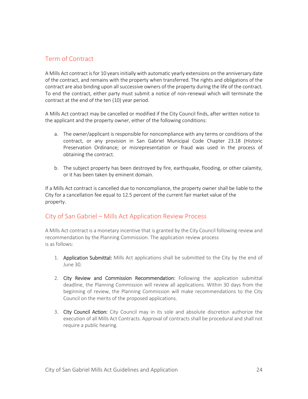### Term of Contract

A Mills Act contract is for 10 years initially with automatic yearly extensions on the anniversary date of the contract, and remains with the property when transferred. The rights and obligations of the contract are also binding upon all successive owners of the property during the life of the contract. To end the contract, either party must submit a notice of non-renewal which will terminate the contract at the end of the ten (10) year period.

A Mills Act contract may be cancelled or modified if the City Council finds, after written notice to the applicant and the property owner, either of the following conditions:

- a. The owner/applicant is responsible for noncompliance with any terms or conditions of the contract, or any provision in San Gabriel Municipal Code Chapter 23.18 (Historic Preservation Ordinance; or misrepresentation or fraud was used in the process of obtaining the contract.
- b. The subject property has been destroyed by fire, earthquake, flooding, or other calamity, or it has been taken by eminent domain.

If a Mills Act contract is cancelled due to noncompliance, the property owner shall be liable to the City for a cancellation fee equal to 12.5 percent of the current fair market value of the property.

### City of San Gabriel – Mills Act Application Review Process

A Mills Act contract is a monetary incentive that is granted by the City Council following review and recommendation by the Planning Commission. The application review process is as follows:

- 1. Application Submittal: Mills Act applications shall be submitted to the City by the end of June 30.
- 2. City Review and Commission Recommendation: Following the application submittal deadline, the Planning Commission will review all applications. Within 30 days from the beginning of review, the Planning Commission will make recommendations to the City Council on the merits of the proposed applications.
- 3. City Council Action: City Council may in its sole and absolute discretion authorize the execution of all Mills Act Contracts. Approval of contracts shall be procedural and shall not require a public hearing.